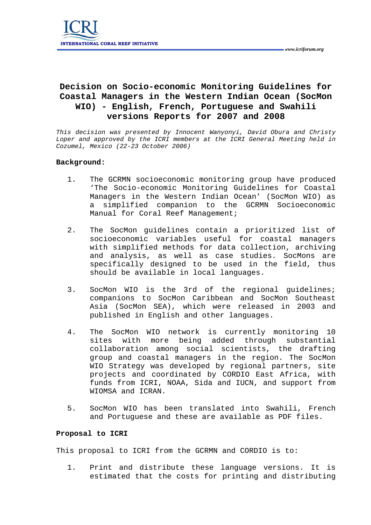## **Decision on Socio-economic Monitoring Guidelines for Coastal Managers in the Western Indian Ocean (SocMon WIO) - English, French, Portuguese and Swahili versions Reports for 2007 and 2008**

*This decision was presented by Innocent Wanyonyi, David Obura and Christy*  Loper and approved by the ICRI members at the ICRI General Meeting held in *Cozumel, Mexico (22-23 October 2006)* 

## **Background:**

- 1. The GCRMN socioeconomic monitoring group have produced 'The Socio-economic Monitoring Guidelines for Coastal Managers in the Western Indian Ocean' (SocMon WIO) as a simplified companion to the GCRMN Socioeconomic Manual for Coral Reef Management;
- 2. The SocMon guidelines contain a prioritized list of socioeconomic variables useful for coastal managers with simplified methods for data collection, archiving and analysis, as well as case studies. SocMons are specifically designed to be used in the field, thus should be available in local languages.
- 3. SocMon WIO is the 3rd of the regional guidelines; companions to SocMon Caribbean and SocMon Southeast Asia (SocMon SEA), which were released in 2003 and published in English and other languages.
- 4. The SocMon WIO network is currently monitoring 10 sites with more being added through substantial collaboration among social scientists, the drafting group and coastal managers in the region. The SocMon WIO Strategy was developed by regional partners, site projects and coordinated by CORDIO East Africa, with funds from ICRI, NOAA, Sida and IUCN, and support from WIOMSA and ICRAN.
- 5. SocMon WIO has been translated into Swahili, French and Portuguese and these are available as PDF files.

## **Proposal to ICRI**

This proposal to ICRI from the GCRMN and CORDIO is to:

1. Print and distribute these language versions. It is estimated that the costs for printing and distributing